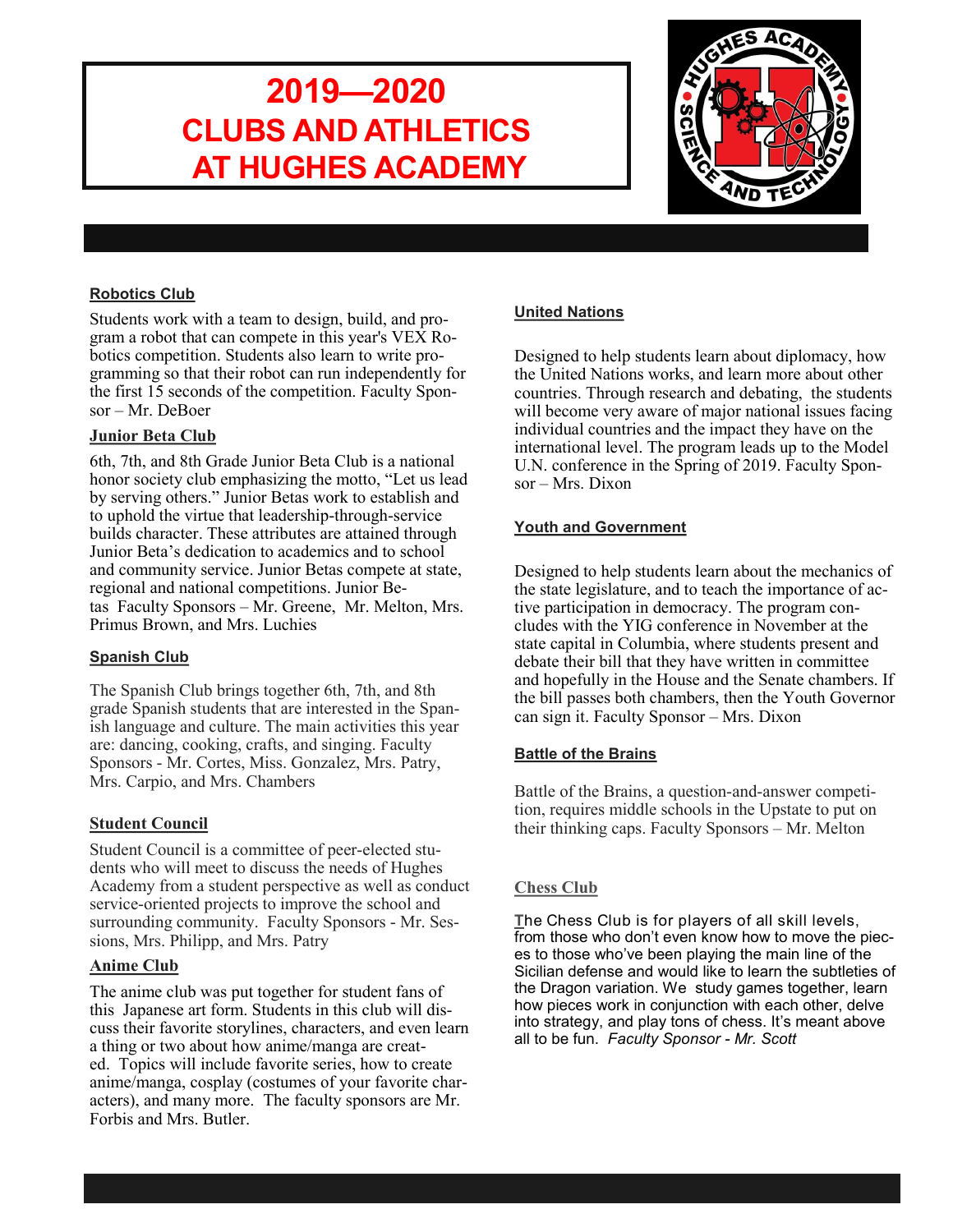# **2019—2020 CLUBS AND ATHLETICS AT HUGHES ACADEMY**



### **Robotics Club**

Students work with a team to design, build, and program a robot that can compete in this year's  $VEX$  Robotics competition. Students also learn to write programming so that their robot can run independently for the first 15 seconds of the competition. Faculty Sponsor – Mr. DeBoer

### **Junior Beta Club**

6th, 7th, and 8th Grade Junior Beta Club is a national honor society club emphasizing the motto, "Let us lead by serving others." Junior Betas work to establish and to uphold the virtue that leadership-through-service builds character. These attributes are attained through Junior Beta's dedication to academics and to school and community service. Junior Betas compete at state, regional and national competitions. Junior Betas Faculty Sponsors – Mr. Greene, Mr. Melton, Mrs. Primus Brown, and Mrs. Luchies

### **Spanish Club**

The Spanish Club brings together 6th, 7th, and 8th grade Spanish students that are interested in the Spanish language and culture. The main activities this year are: dancing, cooking, crafts, and singing. Faculty Sponsors - Mr. Cortes, Miss. Gonzalez, Mrs. Patry, Mrs. Carpio, and Mrs. Chambers

### **Student Council**

Student Council is a committee of peer-elected students who will meet to discuss the needs of Hughes Academy from a student perspective as well as conduct service-oriented projects to improve the school and surrounding community. Faculty Sponsors - Mr. Sessions, Mrs. Philipp, and Mrs. Patry

#### **Anime Club**

The anime club was put together for student fans of this Japanese art form. Students in this club will discuss their favorite storylines, characters, and even learn a thing or two about how anime/manga are created. Topics will include favorite series, how to create anime/manga, cosplay (costumes of your favorite characters), and many more. The faculty sponsors are Mr. Forbis and Mrs. Butler.

## **United Nations**

Designed to help students learn about diplomacy, how the United Nations works, and learn more about other countries. Through research and debating, the students will become very aware of major national issues facing individual countries and the impact they have on the international level. The program leads up to the Model U.N. conference in the Spring of 2019. Faculty Sponsor – Mrs. Dixon

#### **Youth and Government**

Designed to help students learn about the mechanics of the state legislature, and to teach the importance of active participation in democracy. The program concludes with the YIG conference in November at the state capital in Columbia, where students present and debate their bill that they have written in committee and hopefully in the House and the Senate chambers. If the bill passes both chambers, then the Youth Governor can sign it. Faculty Sponsor – Mrs. Dixon

### **Battle of the Brains**

Battle of the Brains, a question-and-answer competition, requires middle schools in the Upstate to put on their thinking caps. Faculty Sponsors – Mr. Melton

### **Chess Club**

**T**he Chess Club is for players of all skill levels, from those who don't even know how to move the pieces to those who've been playing the main line of the Sicilian defense and would like to learn the subtleties of the Dragon variation. We study games together, learn how pieces work in conjunction with each other, delve into strategy, and play tons of chess. It's meant above all to be fun. *Faculty Sponsor - Mr. Scott*